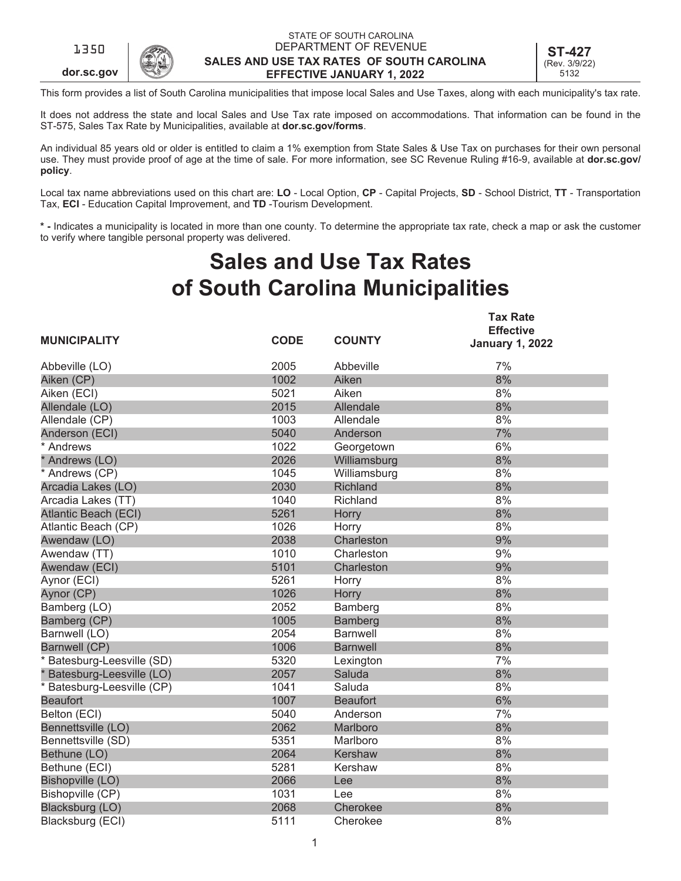**dor.sc.gov**



## **SALES AND USE TAX RATES OF SOUTH CAROLINA EFFECTIVE JANUARY 1, 2022** STATE OF SOUTH CAROLINA DEPARTMENT OF REVENUE **ST-427**

**Tax Rate** 

This form provides a list of South Carolina municipalities that impose local Sales and Use Taxes, along with each municipality's tax rate.

It does not address the state and local Sales and Use Tax rate imposed on accommodations. That information can be found in the ST-575, Sales Tax Rate by Municipalities, available at **dor.sc.gov/forms**.

An individual 85 years old or older is entitled to claim a 1% exemption from State Sales & Use Tax on purchases for their own personal use. They must provide proof of age at the time of sale. For more information, see SC Revenue Ruling #16-9, available at **dor.sc.gov/ policy**.

Local tax name abbreviations used on this chart are: **LO** - Local Option, **CP** - Capital Projects, **SD** - School District, **TT** - Transportation Tax, **ECI** - Education Capital Improvement, and **TD** -Tourism Development.

**\* -** Indicates a municipality is located in more than one county. To determine the appropriate tax rate, check a map or ask the customer to verify where tangible personal property was delivered.

## **Sales and Use Tax Rates of South Carolina Municipalities**

|                             |             |                 | <b>Effective</b>       |
|-----------------------------|-------------|-----------------|------------------------|
| <b>MUNICIPALITY</b>         | <b>CODE</b> | <b>COUNTY</b>   | <b>January 1, 2022</b> |
| Abbeville (LO)              | 2005        | Abbeville       | 7%                     |
| Aiken (CP)                  | 1002        | Aiken           | 8%                     |
| Aiken (ECI)                 | 5021        | Aiken           | 8%                     |
| Allendale (LO)              | 2015        | Allendale       | 8%                     |
| Allendale (CP)              | 1003        | Allendale       | 8%                     |
| Anderson (ECI)              | 5040        | Anderson        | 7%                     |
| * Andrews                   | 1022        | Georgetown      | 6%                     |
| * Andrews (LO)              | 2026        | Williamsburg    | 8%                     |
| * Andrews (CP)              | 1045        | Williamsburg    | 8%                     |
| Arcadia Lakes (LO)          | 2030        | Richland        | 8%                     |
| Arcadia Lakes (TT)          | 1040        | Richland        | 8%                     |
| <b>Atlantic Beach (ECI)</b> | 5261        | Horry           | 8%                     |
| Atlantic Beach (CP)         | 1026        | Horry           | 8%                     |
| Awendaw (LO)                | 2038        | Charleston      | 9%                     |
| Awendaw (TT)                | 1010        | Charleston      | 9%                     |
| Awendaw (ECI)               | 5101        | Charleston      | 9%                     |
| Aynor (ECI)                 | 5261        | Horry           | 8%                     |
| Aynor (CP)                  | 1026        | Horry           | 8%                     |
| Bamberg (LO)                | 2052        | Bamberg         | 8%                     |
| Bamberg (CP)                | 1005        | <b>Bamberg</b>  | 8%                     |
| Barnwell (LO)               | 2054        | <b>Barnwell</b> | 8%                     |
| Barnwell (CP)               | 1006        | <b>Barnwell</b> | 8%                     |
| * Batesburg-Leesville (SD)  | 5320        | Lexington       | 7%                     |
| Batesburg-Leesville (LO)    | 2057        | Saluda          | 8%                     |
| * Batesburg-Leesville (CP)  | 1041        | Saluda          | 8%                     |
| <b>Beaufort</b>             | 1007        | <b>Beaufort</b> | 6%                     |
| Belton (ECI)                | 5040        | Anderson        | 7%                     |
| Bennettsville (LO)          | 2062        | Marlboro        | 8%                     |
| Bennettsville (SD)          | 5351        | Marlboro        | 8%                     |
| Bethune (LO)                | 2064        | Kershaw         | 8%                     |
| Bethune (ECI)               | 5281        | Kershaw         | 8%                     |
| Bishopville (LO)            | 2066        | Lee             | 8%                     |
| Bishopville (CP)            | 1031        | Lee             | 8%                     |
| Blacksburg (LO)             | 2068        | Cherokee        | 8%                     |
| Blacksburg (ECI)            | 5111        | Cherokee        | 8%                     |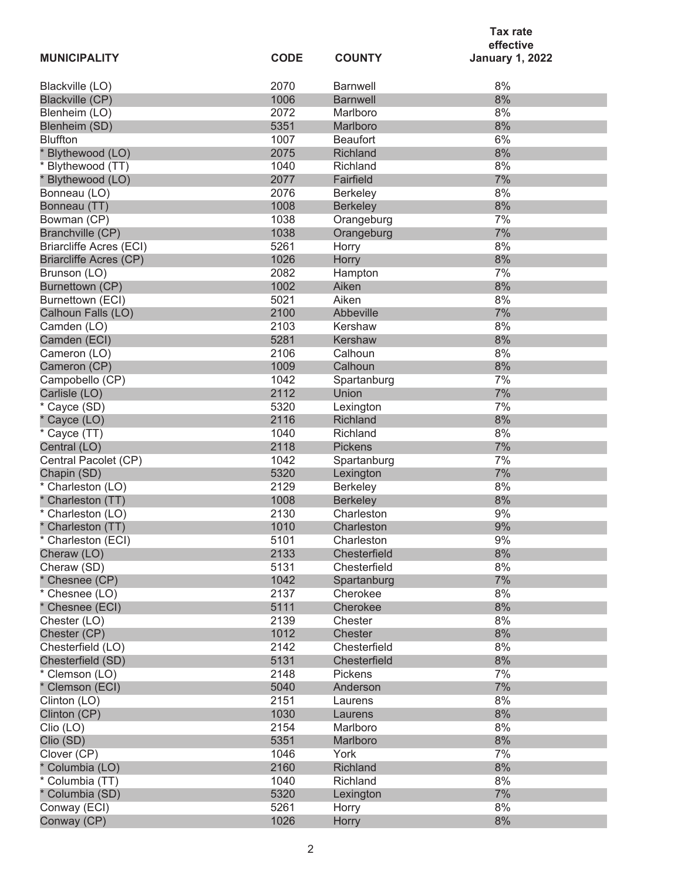| <b>MUNICIPALITY</b>                | <b>CODE</b>  | <b>COUNTY</b>        | <b>Tax rate</b><br>effective<br><b>January 1, 2022</b> |
|------------------------------------|--------------|----------------------|--------------------------------------------------------|
| Blackville (LO)                    | 2070         | <b>Barnwell</b>      | 8%                                                     |
| Blackville (CP)                    | 1006         | <b>Barnwell</b>      | 8%                                                     |
| Blenheim (LO)                      | 2072         | Marlboro             | 8%                                                     |
| Blenheim (SD)                      | 5351         | Marlboro             | 8%                                                     |
| <b>Bluffton</b>                    | 1007         | <b>Beaufort</b>      | 6%                                                     |
| Blythewood (LO)                    | 2075         | <b>Richland</b>      | 8%                                                     |
| Blythewood (TT)                    | 1040         | Richland             | 8%                                                     |
| Blythewood (LO)                    | 2077         | Fairfield            | 7%                                                     |
| Bonneau (LO)                       | 2076         | Berkeley             | 8%                                                     |
| Bonneau (TT)                       | 1008         | <b>Berkeley</b>      | 8%                                                     |
| Bowman (CP)                        | 1038         | Orangeburg           | 7%                                                     |
| Branchville (CP)                   | 1038         | Orangeburg           | 7%                                                     |
| <b>Briarcliffe Acres (ECI)</b>     | 5261         |                      | 8%                                                     |
| <b>Briarcliffe Acres (CP)</b>      | 1026         | Horry<br>Horry       | 8%                                                     |
| Brunson (LO)                       | 2082         | Hampton              | 7%                                                     |
| Burnettown (CP)                    | 1002         | Aiken                | 8%                                                     |
| Burnettown (ECI)                   | 5021         | Aiken                | 8%                                                     |
|                                    | 2100         | Abbeville            | 7%                                                     |
| Calhoun Falls (LO)                 | 2103         | Kershaw              | 8%                                                     |
| Camden (LO)                        | 5281         | Kershaw              | 8%                                                     |
| Camden (ECI)                       | 2106         | Calhoun              | 8%                                                     |
| Cameron (LO)<br>Cameron (CP)       | 1009         | Calhoun              | 8%                                                     |
| Campobello (CP)                    | 1042         |                      | 7%                                                     |
| Carlisle (LO)                      | 2112         | Spartanburg<br>Union | 7%                                                     |
| * Cayce (SD)                       | 5320         | Lexington            | $7\%$                                                  |
| Cayce (LO)                         | 2116         | Richland             | 8%                                                     |
| * Cayce (TT)                       | 1040         | Richland             | 8%                                                     |
| Central (LO)                       | 2118         | <b>Pickens</b>       | 7%                                                     |
| Central Pacolet (CP)               | 1042         | Spartanburg          | 7%                                                     |
| Chapin (SD)                        | 5320         | Lexington            | 7%                                                     |
| * Charleston (LO)                  | 2129         | <b>Berkeley</b>      | 8%                                                     |
| Charleston (TT)                    | 1008         | <b>Berkeley</b>      | 8%                                                     |
| * Charleston (LO)                  | 2130         | Charleston           | 9%                                                     |
| Charleston (TT)                    | 1010         | Charleston           | 9%                                                     |
| * Charleston (ECI)                 | 5101         | Charleston           | 9%                                                     |
| Cheraw (LO)                        | 2133         | Chesterfield         | 8%                                                     |
| Cheraw (SD)                        | 5131         | Chesterfield         | 8%                                                     |
| Chesnee (CP)                       | 1042         | Spartanburg          | 7%                                                     |
| Chesnee (LO)                       | 2137         | Cherokee             | 8%                                                     |
| * Chesnee (ECI)                    | 5111         | Cherokee             | 8%                                                     |
| Chester (LO)                       | 2139         | Chester              | 8%                                                     |
| Chester (CP)                       | 1012         | <b>Chester</b>       | 8%                                                     |
| Chesterfield (LO)                  | 2142         | Chesterfield         | 8%                                                     |
| Chesterfield (SD)                  | 5131         | Chesterfield         | 8%                                                     |
| * Clemson (LO)                     | 2148         | Pickens              | 7%                                                     |
| * Clemson (ECI)                    | 5040         | Anderson             | 7%                                                     |
| Clinton (LO)                       | 2151         | Laurens              | 8%                                                     |
| Clinton (CP)                       | 1030         | Laurens              | 8%                                                     |
| Clio (LO)                          | 2154         | Marlboro             | 8%                                                     |
| Clio (SD)                          | 5351         | Marlboro             | 8%                                                     |
| Clover (CP)                        | 1046         | York                 | 7%                                                     |
| Columbia (LO)                      | 2160<br>1040 | Richland             | 8%<br>8%                                               |
| * Columbia (TT)<br>* Columbia (SD) | 5320         | Richland             | 7%                                                     |
| Conway (ECI)                       | 5261         | Lexington<br>Horry   | 8%                                                     |
| Conway (CP)                        | 1026         | Horry                | 8%                                                     |
|                                    |              |                      |                                                        |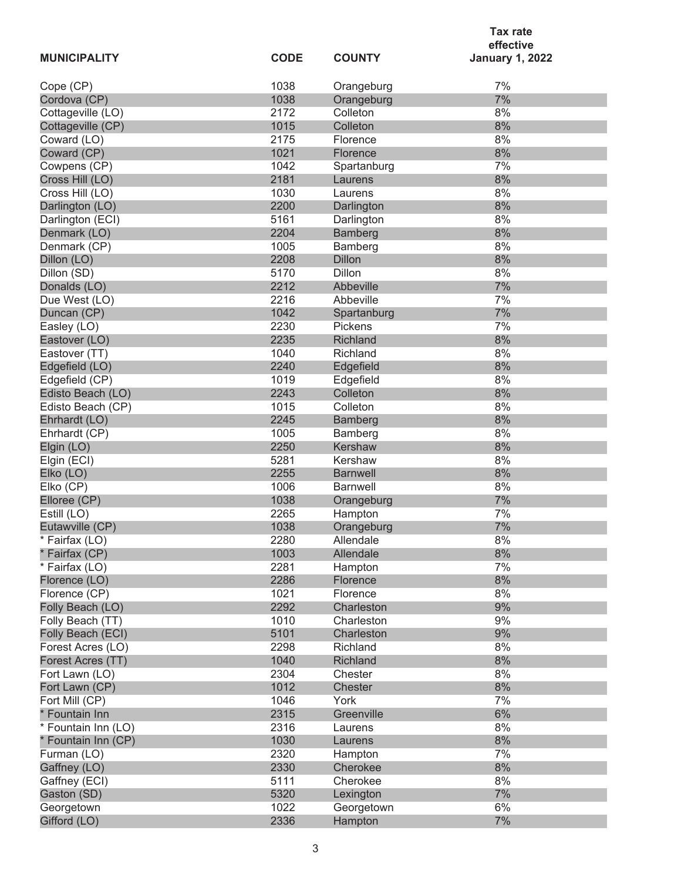| <b>MUNICIPALITY</b> | <b>CODE</b> | <b>COUNTY</b>            | <b>Tax rate</b><br>effective<br><b>January 1, 2022</b> |
|---------------------|-------------|--------------------------|--------------------------------------------------------|
| Cope (CP)           | 1038        | Orangeburg               | 7%                                                     |
| Cordova (CP)        | 1038        | Orangeburg               | 7%                                                     |
| Cottageville (LO)   | 2172        | Colleton                 | 8%                                                     |
| Cottageville (CP)   | 1015        | Colleton                 | 8%                                                     |
| Coward (LO)         | 2175        | Florence                 | 8%                                                     |
| Coward (CP)         | 1021        | Florence                 | 8%                                                     |
| Cowpens (CP)        | 1042        | Spartanburg              | 7%                                                     |
| Cross Hill (LO)     | 2181        | Laurens                  | 8%                                                     |
| Cross Hill (LO)     | 1030        | Laurens                  | 8%                                                     |
| Darlington (LO)     | 2200        | Darlington               | 8%                                                     |
| Darlington (ECI)    | 5161        | Darlington               | 8%                                                     |
|                     | 2204        | <b>Bamberg</b>           | 8%                                                     |
| Denmark (LO)        | 1005        |                          | 8%                                                     |
| Denmark (CP)        | 2208        | Bamberg<br><b>Dillon</b> | 8%                                                     |
| Dillon (LO)         | 5170        | Dillon                   |                                                        |
| Dillon (SD)         | 2212        | Abbeville                | 8%<br>7%                                               |
| Donalds (LO)        |             |                          |                                                        |
| Due West (LO)       | 2216        | Abbeville                | 7%                                                     |
| Duncan (CP)         | 1042        | Spartanburg              | 7%                                                     |
| Easley (LO)         | 2230        | Pickens                  | 7%                                                     |
| Eastover (LO)       | 2235        | Richland                 | 8%                                                     |
| Eastover (TT)       | 1040        | Richland                 | 8%                                                     |
| Edgefield (LO)      | 2240        | Edgefield                | 8%                                                     |
| Edgefield (CP)      | 1019        | Edgefield                | 8%                                                     |
| Edisto Beach (LO)   | 2243        | Colleton                 | 8%                                                     |
| Edisto Beach (CP)   | 1015        | Colleton                 | 8%                                                     |
| Ehrhardt (LO)       | 2245        | Bamberg                  | 8%                                                     |
| Ehrhardt (CP)       | 1005        | Bamberg                  | 8%                                                     |
| Elgin (LO)          | 2250        | Kershaw                  | 8%                                                     |
| Elgin (ECI)         | 5281        | Kershaw                  | 8%                                                     |
| Elko (LO)           | 2255        | <b>Barnwell</b>          | 8%                                                     |
| Elko (CP)           | 1006        | <b>Barnwell</b>          | 8%                                                     |
| Elloree (CP)        | 1038        | Orangeburg               | 7%                                                     |
| Estill (LO)         | 2265        | Hampton                  | 7%                                                     |
| Eutawville (CP)     | 1038        | Orangeburg               | 7%                                                     |
| * Fairfax (LO)      | 2280        | Allendale                | 8%                                                     |
| * Fairfax (CP)      | 1003        | Allendale                | 8%                                                     |
| * Fairfax (LO)      | 2281        | Hampton                  | 7%                                                     |
| Florence (LO)       | 2286        | Florence                 | 8%                                                     |
| Florence (CP)       | 1021        | Florence                 | 8%                                                     |
| Folly Beach (LO)    | 2292        | Charleston               | 9%                                                     |
| Folly Beach (TT)    | 1010        | Charleston               | 9%                                                     |
| Folly Beach (ECI)   | 5101        | Charleston               | 9%                                                     |
| Forest Acres (LO)   | 2298        | Richland                 | 8%                                                     |
| Forest Acres (TT)   | 1040        | Richland                 | 8%                                                     |
| Fort Lawn (LO)      | 2304        | Chester                  | 8%                                                     |
| Fort Lawn (CP)      | 1012        | Chester                  | 8%                                                     |
| Fort Mill (CP)      | 1046        | York                     | 7%                                                     |
| * Fountain Inn      | 2315        | Greenville               | 6%                                                     |
| * Fountain Inn (LO) | 2316        | Laurens                  | 8%                                                     |
| * Fountain Inn (CP) | 1030        | Laurens                  | 8%                                                     |
| Furman (LO)         | 2320        | Hampton                  | 7%                                                     |
| Gaffney (LO)        | 2330        | Cherokee                 | 8%                                                     |
| Gaffney (ECI)       | 5111        | Cherokee                 | 8%                                                     |
| Gaston (SD)         | 5320        | Lexington                | 7%                                                     |
| Georgetown          | 1022        | Georgetown               | 6%                                                     |
| Gifford (LO)        | 2336        | Hampton                  | 7%                                                     |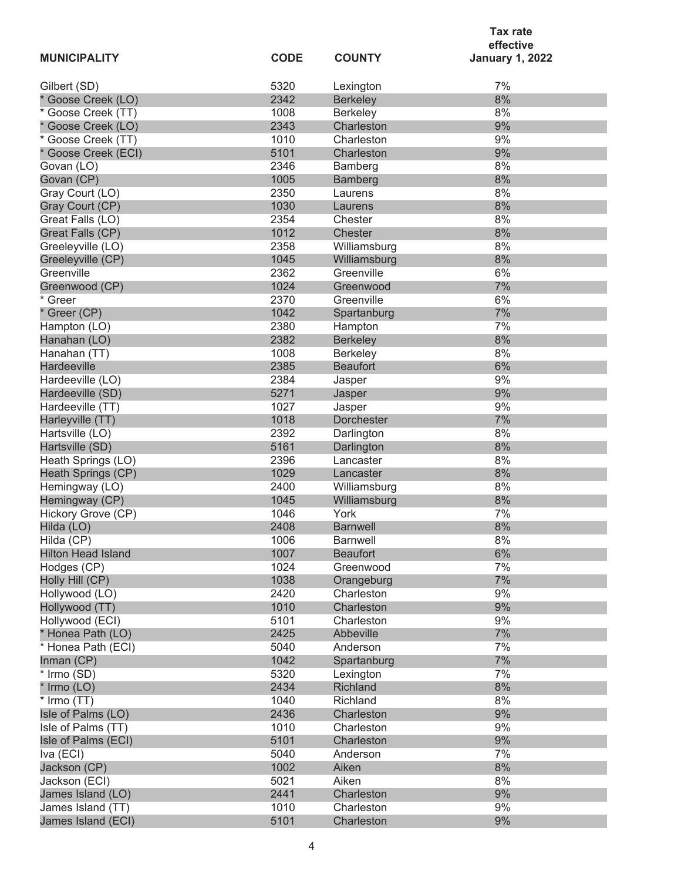| <b>MUNICIPALITY</b>                  | <b>CODE</b>  | <b>COUNTY</b>                      | <b>Tax rate</b><br>effective<br><b>January 1, 2022</b> |
|--------------------------------------|--------------|------------------------------------|--------------------------------------------------------|
| Gilbert (SD)                         | 5320         | Lexington                          | 7%                                                     |
| * Goose Creek (LO)                   | 2342         | <b>Berkeley</b>                    | 8%                                                     |
| Goose Creek (TT)                     | 1008         | <b>Berkeley</b>                    | 8%                                                     |
| Goose Creek (LO)                     | 2343         | Charleston                         | 9%                                                     |
| Goose Creek (TT)                     | 1010         | Charleston                         | 9%                                                     |
| * Goose Creek (ECI)                  | 5101         | Charleston                         | 9%                                                     |
| Govan (LO)                           | 2346         | Bamberg                            | 8%                                                     |
| Govan (CP)                           | 1005         | <b>Bamberg</b>                     | 8%                                                     |
| Gray Court (LO)                      | 2350         | Laurens                            | 8%                                                     |
| Gray Court (CP)                      | 1030         | Laurens                            | 8%                                                     |
| Great Falls (LO)                     | 2354         | Chester                            | 8%                                                     |
| Great Falls (CP)                     | 1012         | Chester                            | 8%                                                     |
| Greeleyville (LO)                    | 2358         | Williamsburg                       | 8%                                                     |
| Greeleyville (CP)                    | 1045         | Williamsburg                       | 8%                                                     |
| Greenville                           | 2362         | Greenville                         | 6%                                                     |
|                                      | 1024         | Greenwood                          | 7%                                                     |
| Greenwood (CP)<br>* Greer            | 2370         | Greenville                         | 6%                                                     |
|                                      | 1042         |                                    | 7%                                                     |
| * Greer (CP)                         | 2380         | Spartanburg                        |                                                        |
| Hampton (LO)                         | 2382         | Hampton                            | 7%<br>8%                                               |
| Hanahan (LO)                         |              | <b>Berkeley</b>                    |                                                        |
| Hanahan (TT)<br><b>Hardeeville</b>   | 1008<br>2385 | <b>Berkeley</b><br><b>Beaufort</b> | 8%<br>6%                                               |
|                                      | 2384         |                                    | 9%                                                     |
| Hardeeville (LO)                     | 5271         | Jasper                             | 9%                                                     |
| Hardeeville (SD)                     | 1027         | Jasper                             | 9%                                                     |
| Hardeeville (TT)<br>Harleyville (TT) | 1018         | Jasper<br><b>Dorchester</b>        | 7%                                                     |
| Hartsville (LO)                      | 2392         | Darlington                         | 8%                                                     |
| Hartsville (SD)                      | 5161         | Darlington                         | 8%                                                     |
| Heath Springs (LO)                   | 2396         | Lancaster                          | 8%                                                     |
| Heath Springs (CP)                   | 1029         | Lancaster                          | 8%                                                     |
| Hemingway (LO)                       | 2400         | Williamsburg                       | 8%                                                     |
| Hemingway (CP)                       | 1045         | Williamsburg                       | 8%                                                     |
| Hickory Grove (CP)                   | 1046         | York                               | 7%                                                     |
| Hilda (LO)                           | 2408         | <b>Barnwell</b>                    | 8%                                                     |
| Hilda (CP)                           | 1006         | <b>Barnwell</b>                    | 8%                                                     |
| <b>Hilton Head Island</b>            | 1007         | <b>Beaufort</b>                    | 6%                                                     |
| Hodges (CP)                          | 1024         | Greenwood                          | 7%                                                     |
| Holly Hill (CP)                      | 1038         | Orangeburg                         | 7%                                                     |
| Hollywood (LO)                       | 2420         | Charleston                         | 9%                                                     |
| Hollywood (TT)                       | 1010         | Charleston                         | 9%                                                     |
| Hollywood (ECI)                      | 5101         | Charleston                         | 9%                                                     |
| * Honea Path (LO)                    | 2425         | Abbeville                          | 7%                                                     |
| * Honea Path (ECI)                   | 5040         | Anderson                           | 7%                                                     |
| Inman (CP)                           | 1042         | Spartanburg                        | 7%                                                     |
| * Irmo (SD)                          | 5320         | Lexington                          | 7%                                                     |
| $*$ Irmo (LO)                        | 2434         | Richland                           | 8%                                                     |
| $*$ Irmo (TT)                        | 1040         | Richland                           | 8%                                                     |
| Isle of Palms (LO)                   | 2436         | Charleston                         | 9%                                                     |
| Isle of Palms (TT)                   | 1010         | Charleston                         | 9%                                                     |
| Isle of Palms (ECI)                  | 5101         | Charleston                         | 9%                                                     |
| Iva (ECI)                            | 5040         | Anderson                           | 7%                                                     |
| Jackson (CP)                         | 1002         | Aiken                              | 8%                                                     |
| Jackson (ECI)                        | 5021         | Aiken                              | 8%                                                     |
| James Island (LO)                    | 2441         | Charleston                         | 9%                                                     |
| James Island (TT)                    | 1010         | Charleston                         | 9%                                                     |
| James Island (ECI)                   | 5101         | Charleston                         | 9%                                                     |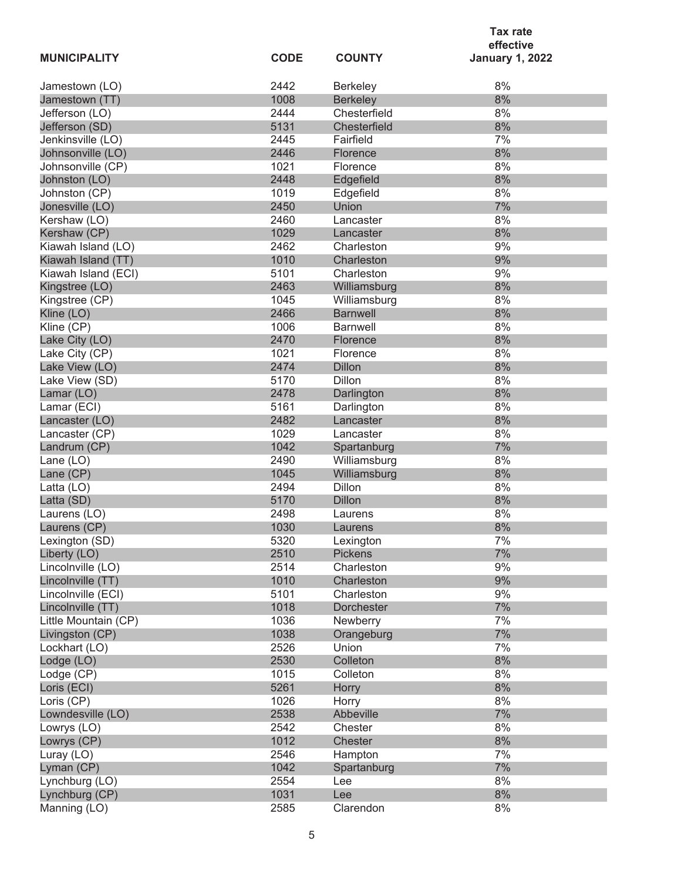| <b>MUNICIPALITY</b>              | <b>CODE</b> | <b>COUNTY</b>     | <b>Tax rate</b><br>effective<br><b>January 1, 2022</b> |
|----------------------------------|-------------|-------------------|--------------------------------------------------------|
| Jamestown (LO)                   | 2442        | Berkeley          | 8%                                                     |
| Jamestown (TT)                   | 1008        | <b>Berkeley</b>   | 8%                                                     |
| Jefferson (LO)                   | 2444        | Chesterfield      | 8%                                                     |
| Jefferson (SD)                   | 5131        | Chesterfield      | 8%                                                     |
| Jenkinsville (LO)                | 2445        | Fairfield         | 7%                                                     |
| Johnsonville (LO)                | 2446        | Florence          | 8%                                                     |
| Johnsonville (CP)                | 1021        | Florence          | 8%                                                     |
| Johnston (LO)                    | 2448        | Edgefield         | 8%                                                     |
| Johnston (CP)                    | 1019        | Edgefield         | 8%                                                     |
| Jonesville (LO)                  | 2450        | Union             | 7%                                                     |
| Kershaw (LO)                     | 2460        | Lancaster         | 8%                                                     |
| Kershaw (CP)                     | 1029        | Lancaster         | 8%                                                     |
| Kiawah Island (LO)               | 2462        | Charleston        | 9%                                                     |
| Kiawah Island (TT)               | 1010        | Charleston        | 9%                                                     |
| Kiawah Island (ECI)              | 5101        | Charleston        | 9%                                                     |
| Kingstree (LO)                   | 2463        | Williamsburg      | 8%                                                     |
| Kingstree (CP)                   | 1045        | Williamsburg      | 8%                                                     |
| Kline (LO)                       | 2466        | <b>Barnwell</b>   | 8%                                                     |
| Kline (CP)                       | 1006        | <b>Barnwell</b>   | 8%                                                     |
| Lake City (LO)                   | 2470        | Florence          | 8%                                                     |
| Lake City (CP)                   | 1021        | Florence          | 8%                                                     |
| Lake View (LO)                   | 2474        | <b>Dillon</b>     | 8%                                                     |
| Lake View (SD)                   | 5170        | Dillon            | 8%                                                     |
| Lamar (LO)                       | 2478        | Darlington        | 8%                                                     |
| Lamar (ECI)                      | 5161        | Darlington        | 8%                                                     |
| Lancaster (LO)                   | 2482        | Lancaster         | 8%                                                     |
| Lancaster (CP)                   | 1029        | Lancaster         | 8%                                                     |
| Landrum (CP)                     | 1042        | Spartanburg       | 7%                                                     |
| Lane (LO)                        | 2490        | Williamsburg      | 8%                                                     |
| Lane (CP)                        | 1045        | Williamsburg      | 8%                                                     |
| Latta (LO)                       | 2494        | <b>Dillon</b>     | 8%                                                     |
| Latta (SD)                       | 5170        | <b>Dillon</b>     | 8%                                                     |
| Laurens (LO)                     | 2498        | Laurens           | 8%                                                     |
| Laurens (CP)                     | 1030        | Laurens           | 8%                                                     |
| Lexington (SD)                   | 5320        | Lexington         | 7%                                                     |
| Liberty (LO)                     | 2510        | <b>Pickens</b>    | 7%                                                     |
| Lincolnville (LO)                | 2514        | Charleston        | 9%                                                     |
| Lincolnville (TT)                | 1010        | Charleston        | 9%                                                     |
| Lincolnville (ECI)               | 5101        | Charleston        | 9%                                                     |
| Lincolnville (TT)                | 1018        | <b>Dorchester</b> | 7%                                                     |
| Little Mountain (CP)             | 1036        | Newberry          | 7%                                                     |
| Livingston (CP)                  | 1038        | Orangeburg        | 7%                                                     |
| Lockhart (LO)                    | 2526        | Union             | 7%                                                     |
| Lodge (LO)                       | 2530        | Colleton          | 8%                                                     |
| Lodge (CP)                       | 1015        | Colleton          | 8%                                                     |
| Loris (ECI)                      | 5261        | Horry             | 8%                                                     |
| Loris (CP)                       | 1026        | Horry             | 8%                                                     |
| Lowndesville (LO)                | 2538        | Abbeville         | 7%                                                     |
| Lowrys (LO)                      | 2542        | Chester           | 8%                                                     |
| Lowrys (CP)                      | 1012        | Chester           | 8%                                                     |
| Luray (LO)                       | 2546        | Hampton           | 7%                                                     |
| Lyman (CP)                       | 1042        | Spartanburg       | 7%                                                     |
|                                  | 2554        | Lee               | 8%                                                     |
| Lynchburg (LO)<br>Lynchburg (CP) | 1031        | Lee               | 8%                                                     |
| Manning (LO)                     | 2585        | Clarendon         | 8%                                                     |
|                                  |             |                   |                                                        |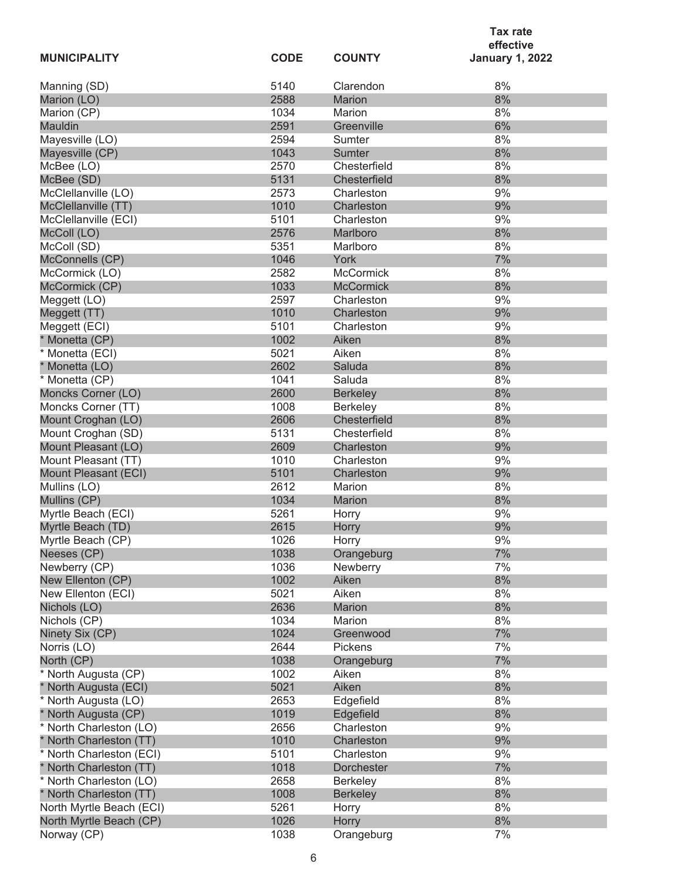| <b>MUNICIPALITY</b>      | <b>CODE</b> | <b>COUNTY</b>    | <b>Tax rate</b><br>effective<br><b>January 1, 2022</b> |
|--------------------------|-------------|------------------|--------------------------------------------------------|
|                          |             |                  |                                                        |
| Manning (SD)             | 5140        | Clarendon        | 8%                                                     |
| Marion (LO)              | 2588        | <b>Marion</b>    | 8%                                                     |
| Marion (CP)              | 1034        | Marion           | 8%                                                     |
| Mauldin                  | 2591        | Greenville       | 6%                                                     |
| Mayesville (LO)          | 2594        | Sumter           | 8%                                                     |
| Mayesville (CP)          | 1043        | Sumter           | 8%                                                     |
| McBee (LO)               | 2570        | Chesterfield     | 8%                                                     |
| McBee (SD)               | 5131        | Chesterfield     | 8%                                                     |
| McClellanville (LO)      | 2573        | Charleston       | 9%                                                     |
| McClellanville (TT)      | 1010        | Charleston       | 9%                                                     |
| McClellanville (ECI)     | 5101        | Charleston       | 9%                                                     |
| McColl (LO)              | 2576        | Marlboro         | 8%                                                     |
| McColl (SD)              | 5351        | Marlboro         | 8%                                                     |
| McConnells (CP)          | 1046        | York             | 7%                                                     |
| McCormick (LO)           | 2582        | <b>McCormick</b> | 8%                                                     |
| McCormick (CP)           | 1033        | <b>McCormick</b> | 8%                                                     |
| Meggett (LO)             | 2597        | Charleston       | 9%                                                     |
| Meggett (TT)             | 1010        | Charleston       | 9%                                                     |
| Meggett (ECI)            | 5101        | Charleston       | 9%                                                     |
| * Monetta (CP)           | 1002        | Aiken            | 8%                                                     |
| * Monetta (ECI)          | 5021        | Aiken            | 8%                                                     |
| * Monetta (LO)           | 2602        | Saluda           | 8%                                                     |
| * Monetta (CP)           | 1041        | Saluda           | 8%                                                     |
| Moncks Corner (LO)       | 2600        | <b>Berkeley</b>  | 8%                                                     |
| Moncks Corner (TT)       | 1008        | <b>Berkeley</b>  | 8%                                                     |
| Mount Croghan (LO)       | 2606        | Chesterfield     | 8%                                                     |
| Mount Croghan (SD)       | 5131        | Chesterfield     | 8%                                                     |
| Mount Pleasant (LO)      | 2609        | Charleston       | 9%                                                     |
| Mount Pleasant (TT)      | 1010        | Charleston       | 9%                                                     |
| Mount Pleasant (ECI)     | 5101        | Charleston       | 9%                                                     |
| Mullins (LO)             | 2612        | Marion           | 8%                                                     |
| Mullins (CP)             | 1034        | <b>Marion</b>    | 8%                                                     |
| Myrtle Beach (ECI)       | 5261        | Horry            | 9%                                                     |
| Myrtle Beach (TD)        | 2615        | Horry            | 9%                                                     |
| Myrtle Beach (CP)        | 1026        | Horry            | 9%                                                     |
| Neeses (CP)              | 1038        | Orangeburg       | 7%                                                     |
| Newberry (CP)            | 1036        | Newberry         | 7%                                                     |
| New Ellenton (CP)        | 1002        | Aiken            | 8%                                                     |
| New Ellenton (ECI)       | 5021        | Aiken            | 8%                                                     |
| Nichols (LO)             | 2636        | Marion           | 8%                                                     |
| Nichols (CP)             | 1034        | Marion           | 8%                                                     |
| Ninety Six (CP)          | 1024        | Greenwood        | 7%                                                     |
| Norris (LO)              | 2644        | Pickens          | 7%                                                     |
| North (CP)               | 1038        | Orangeburg       | 7%                                                     |
| * North Augusta (CP)     | 1002        | Aiken            | 8%                                                     |
| * North Augusta (ECI)    | 5021        | Aiken            | 8%                                                     |
| * North Augusta (LO)     | 2653        | Edgefield        | 8%                                                     |
| * North Augusta (CP)     | 1019        | Edgefield        | 8%                                                     |
| * North Charleston (LO)  | 2656        | Charleston       | 9%                                                     |
| * North Charleston (TT)  | 1010        | Charleston       | 9%                                                     |
| * North Charleston (ECI) | 5101        | Charleston       | 9%                                                     |
| * North Charleston (TT)  | 1018        | Dorchester       | 7%                                                     |
| * North Charleston (LO)  | 2658        | Berkeley         | 8%                                                     |
| * North Charleston (TT)  | 1008        | <b>Berkeley</b>  | 8%                                                     |
| North Myrtle Beach (ECI) | 5261        | Horry            | 8%                                                     |
| North Myrtle Beach (CP)  | 1026        | Horry            | 8%                                                     |
| Norway (CP)              | 1038        | Orangeburg       | 7%                                                     |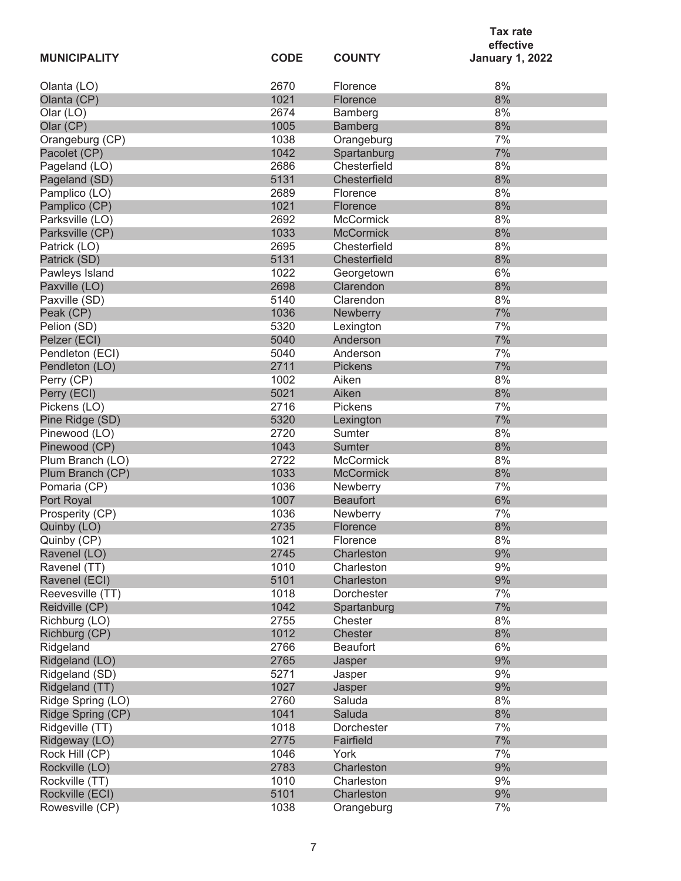| <b>MUNICIPALITY</b> | <b>CODE</b> | <b>COUNTY</b>    | <b>Tax rate</b><br>effective<br><b>January 1, 2022</b> |
|---------------------|-------------|------------------|--------------------------------------------------------|
|                     |             |                  |                                                        |
| Olanta (LO)         | 2670        | Florence         | 8%                                                     |
| Olanta (CP)         | 1021        | Florence         | 8%                                                     |
| Olar (LO)           | 2674        | Bamberg          | 8%                                                     |
| Olar (CP)           | 1005        | Bamberg          | 8%                                                     |
| Orangeburg (CP)     | 1038        | Orangeburg       | 7%                                                     |
| Pacolet (CP)        | 1042        | Spartanburg      | 7%                                                     |
| Pageland (LO)       | 2686        | Chesterfield     | 8%                                                     |
| Pageland (SD)       | 5131        | Chesterfield     | 8%                                                     |
| Pamplico (LO)       | 2689        | Florence         | 8%                                                     |
| Pamplico (CP)       | 1021        | Florence         | 8%                                                     |
| Parksville (LO)     | 2692        | <b>McCormick</b> | 8%                                                     |
| Parksville (CP)     | 1033        | <b>McCormick</b> | 8%                                                     |
| Patrick (LO)        | 2695        | Chesterfield     | 8%                                                     |
| Patrick (SD)        | 5131        | Chesterfield     | 8%                                                     |
| Pawleys Island      | 1022        | Georgetown       | 6%                                                     |
| Paxville (LO)       | 2698        | Clarendon        | 8%                                                     |
| Paxville (SD)       | 5140        | Clarendon        | 8%                                                     |
| Peak (CP)           | 1036        | Newberry         | 7%                                                     |
| Pelion (SD)         | 5320        | Lexington        | 7%                                                     |
| Pelzer (ECI)        | 5040        | Anderson         | 7%                                                     |
| Pendleton (ECI)     | 5040        | Anderson         | 7%                                                     |
| Pendleton (LO)      | 2711        | <b>Pickens</b>   | 7%                                                     |
| Perry (CP)          | 1002        | Aiken            | 8%                                                     |
| Perry (ECI)         | 5021        | Aiken            | 8%                                                     |
| Pickens (LO)        | 2716        | Pickens          | 7%                                                     |
| Pine Ridge (SD)     | 5320        | Lexington        | 7%                                                     |
| Pinewood (LO)       | 2720        | Sumter           | 8%                                                     |
| Pinewood (CP)       | 1043        | Sumter           | 8%                                                     |
| Plum Branch (LO)    | 2722        | McCormick        | 8%                                                     |
| Plum Branch (CP)    | 1033        | <b>McCormick</b> | 8%                                                     |
| Pomaria (CP)        | 1036        | Newberry         | 7%                                                     |
| Port Royal          | 1007        | <b>Beaufort</b>  | 6%                                                     |
| Prosperity (CP)     | 1036        | Newberry         | 7%                                                     |
| Quinby (LO)         | 2735        | Florence         | 8%                                                     |
| Quinby (CP)         | 1021        | Florence         | 8%                                                     |
| Ravenel (LO)        | 2745        | Charleston       | 9%                                                     |
| Ravenel (TT)        | 1010        | Charleston       | 9%                                                     |
| Ravenel (ECI)       | 5101        | Charleston       | 9%                                                     |
| Reevesville (TT)    | 1018        | Dorchester       | 7%                                                     |
| Reidville (CP)      | 1042        | Spartanburg      | 7%                                                     |
| Richburg (LO)       | 2755        | Chester          | 8%                                                     |
| Richburg (CP)       | 1012        | Chester          | 8%                                                     |
| Ridgeland           | 2766        | <b>Beaufort</b>  | 6%                                                     |
| Ridgeland (LO)      | 2765        | Jasper           | 9%                                                     |
| Ridgeland (SD)      | 5271        | Jasper           | 9%                                                     |
| Ridgeland (TT)      | 1027        | Jasper           | 9%                                                     |
| Ridge Spring (LO)   | 2760        | Saluda           | 8%                                                     |
| Ridge Spring (CP)   | 1041        | Saluda           | 8%                                                     |
| Ridgeville (TT)     | 1018        | Dorchester       | 7%                                                     |
| Ridgeway (LO)       | 2775        | Fairfield        | 7%                                                     |
| Rock Hill (CP)      | 1046        | York             | 7%                                                     |
| Rockville (LO)      | 2783        | Charleston       | 9%                                                     |
| Rockville (TT)      | 1010        | Charleston       | 9%                                                     |
| Rockville (ECI)     | 5101        | Charleston       | 9%                                                     |
| Rowesville (CP)     | 1038        | Orangeburg       | 7%                                                     |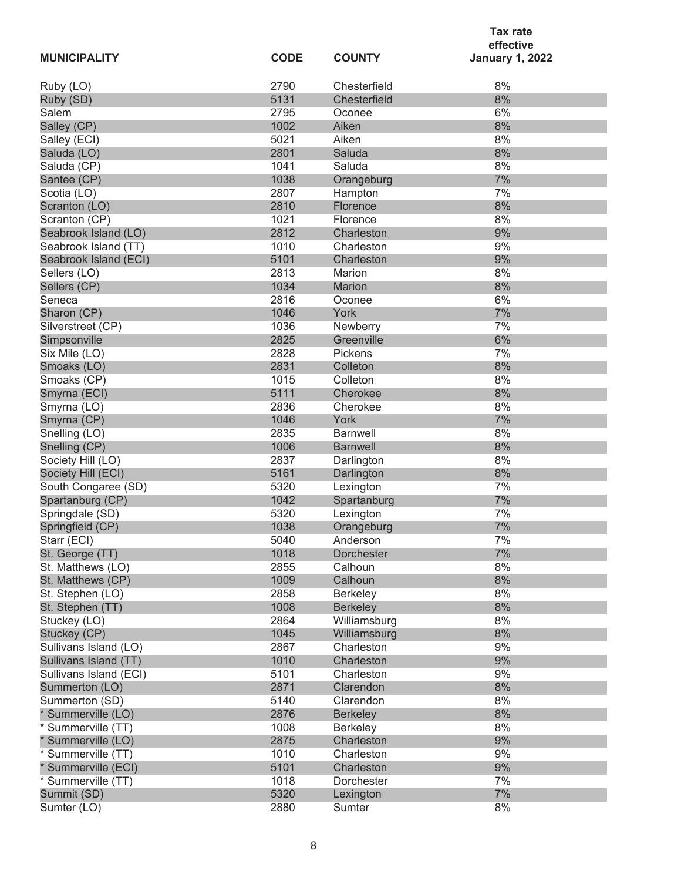| <b>MUNICIPALITY</b>    | <b>CODE</b>  | <b>COUNTY</b>       | <b>Tax rate</b><br>effective<br><b>January 1, 2022</b> |
|------------------------|--------------|---------------------|--------------------------------------------------------|
|                        | 2790         | Chesterfield        | 8%                                                     |
| Ruby (LO)<br>Ruby (SD) | 5131         | Chesterfield        | 8%                                                     |
| Salem                  | 2795         | Oconee              | 6%                                                     |
|                        | 1002         | Aiken               | 8%                                                     |
| Salley (CP)            |              |                     |                                                        |
| Salley (ECI)           | 5021         | Aiken               | 8%                                                     |
| Saluda (LO)            | 2801         | Saluda              | 8%                                                     |
| Saluda (CP)            | 1041         | Saluda              | 8%                                                     |
| Santee (CP)            | 1038         | Orangeburg          | 7%                                                     |
| Scotia (LO)            | 2807         | Hampton             | 7%                                                     |
| Scranton (LO)          | 2810         | Florence            | 8%                                                     |
| Scranton (CP)          | 1021         | Florence            | 8%                                                     |
| Seabrook Island (LO)   | 2812         | Charleston          | 9%                                                     |
| Seabrook Island (TT)   | 1010         | Charleston          | 9%                                                     |
| Seabrook Island (ECI)  | 5101         | Charleston          | 9%                                                     |
| Sellers (LO)           | 2813         | Marion              | 8%                                                     |
| Sellers (CP)           | 1034         | Marion              | 8%                                                     |
| Seneca                 | 2816         | Oconee              | 6%                                                     |
| Sharon (CP)            | 1046         | York                | 7%                                                     |
| Silverstreet (CP)      | 1036         | Newberry            | 7%                                                     |
| Simpsonville           | 2825         | Greenville          | 6%                                                     |
| Six Mile (LO)          | 2828         | Pickens             | 7%                                                     |
| Smoaks (LO)            | 2831         | Colleton            | 8%                                                     |
| Smoaks (CP)            | 1015         | Colleton            | 8%                                                     |
| Smyrna (ECI)           | 5111         | Cherokee            | 8%                                                     |
| Smyrna (LO)            | 2836         | Cherokee            | 8%                                                     |
| Smyrna (CP)            | 1046         | York                | 7%                                                     |
| Snelling (LO)          | 2835         | <b>Barnwell</b>     | 8%                                                     |
| Snelling (CP)          | 1006         | <b>Barnwell</b>     | 8%                                                     |
| Society Hill (LO)      | 2837         | Darlington          | 8%                                                     |
| Society Hill (ECI)     | 5161         | Darlington          | 8%                                                     |
| South Congaree (SD)    | 5320         | Lexington           | 7%                                                     |
| Spartanburg (CP)       | 1042         | Spartanburg         | 7%                                                     |
| Springdale (SD)        | 5320         | Lexington           | 7%                                                     |
| Springfield (CP)       | 1038         | Orangeburg          | 7%                                                     |
| Starr (ECI)            | 5040         | Anderson            | 7%                                                     |
| St. George (TT)        | 1018         | Dorchester          | 7%                                                     |
| St. Matthews (LO)      | 2855         | Calhoun             | 8%                                                     |
| St. Matthews (CP)      | 1009         | Calhoun             | 8%                                                     |
| St. Stephen (LO)       | 2858         | <b>Berkeley</b>     | 8%                                                     |
| St. Stephen (TT)       | 1008         | <b>Berkeley</b>     | 8%                                                     |
| Stuckey (LO)           | 2864         | Williamsburg        | 8%                                                     |
| Stuckey (CP)           | 1045         | Williamsburg        | 8%                                                     |
| Sullivans Island (LO)  | 2867         | Charleston          | 9%                                                     |
| Sullivans Island (TT)  | 1010         | Charleston          | 9%                                                     |
| Sullivans Island (ECI) | 5101         | Charleston          | 9%                                                     |
| Summerton (LO)         | 2871         | Clarendon           | 8%                                                     |
| Summerton (SD)         | 5140         | Clarendon           | 8%                                                     |
| Summerville (LO)       | 2876         | <b>Berkeley</b>     | 8%                                                     |
| Summerville (TT)       | 1008         | Berkeley            | 8%                                                     |
| Summerville (LO)       | 2875         | Charleston          | 9%                                                     |
| Summerville (TT)       | 1010         | Charleston          | 9%                                                     |
| Summerville (ECI)      | 5101         | Charleston          | 9%                                                     |
| * Summerville (TT)     | 1018         | Dorchester          | 7%                                                     |
| Summit (SD)            | 5320<br>2880 | Lexington<br>Sumter | 7%<br>8%                                               |
| Sumter (LO)            |              |                     |                                                        |